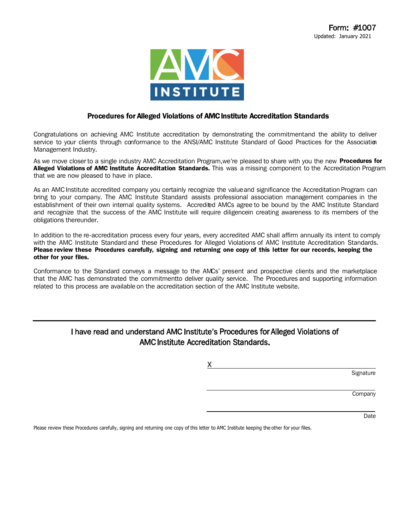

#### Procedures for Alleged Violations of AMC Institute Accreditation Standards

Congratulations on achieving AMC Institute accreditation by demonstrating the commitmentand the ability to deliver service to your clients through conformance to the ANSI/AMC Institute Standard of Good Practices for the Association Management Industry.

As we move closer to a single industry AMC Accreditation Program, we're pleased to share with you the new Procedures for Alleged Violations of AMC Institute Accreditation Standards. This was a missing component to the Accreditation Program that we are now pleased to have in place.

As an AMC Institute accredited company you certainly recognize the value and significance the Accreditation Program can bring to your company. The AMC Institute Standard assists professional association management companies in the establishment of their own internal quality systems. Accredied AMCs agree to be bound by the AMC Institute Standard and recognize that the success of the AMC Institute will require diligencein creating awareness to its members of the obligations thereunder.

In addition to the re-accreditation process every four years, every accredited AMC shall affirm annually its intent to comply with the AMC Institute Standard and these Procedures for Alleged Violations of AMC Institute Accreditation Standards. Please review these Procedures carefully, signing and returning one copy of this letter for our records, keeping the other for your files.

Conformance to the Standard conveys a message to the AMCs' present and prospective clients and the marketplace that the AMC has demonstrated the commitmentto deliver quality service. The Procedures and supporting information related to this process are available on the accreditation section of the AMC Institute website.

#### I have read and understand AMC Institute's Procedures for Alleged Violations of AMCInstitute Accreditation Standards.

X **Signature** 

**Company** 

Date

Please review these Procedures carefully, signing and returning one copy of this letter to AMC Institute keeping the other for your files.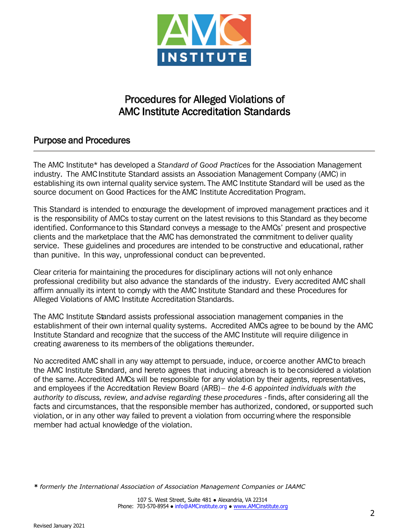

# Procedures for Alleged Violations of AMC Institute Accreditation Standards

# Purpose and Procedures

The AMC Institute\* has developed a *Standard of Good Practices* for the Association Management industry. The AMC Institute Standard assists an Association Management Company (AMC) in establishing its own internal quality service system. The AMC Institute Standard will be used as the source document on Good Practices for the AMC Institute Accreditation Program.

This Standard is intended to encourage the development of improved management practices and it is the responsibility of AMCs to stay current on the latest revisions to this Standard as they become identified. Conformance to this Standard conveys a message to the AMCs' present and prospective clients and the marketplace that the AMC has demonstrated the commitment to deliver quality service. These guidelines and procedures are intended to be constructive and educational, rather than punitive. In this way, unprofessional conduct can be prevented.

Clear criteria for maintaining the procedures for disciplinary actions will not only enhance professional credibility but also advance the standards of the industry. Every accredited AMC shall affirm annually its intent to comply with the AMC Institute Standard and these Procedures for Alleged Violations of AMC Institute Accreditation Standards.

The AMC Institute Standard assists professional association management companies in the establishment of their own internal quality systems. Accredited AMCs agree to be bound by the AMC Institute Standard and recognize that the success of the AMC Institute will require diligence in creating awareness to its members of the obligations thereunder.

No accredited AMC shall in any way attempt to persuade, induce, or coerce another AMC to breach the AMC Institute Standard, and hereto agrees that inducing a breach is to be considered a violation of the same. Accredited AMCs will be responsible for any violation by their agents, representatives, and employees if the Accreditation Review Board (ARB) – *the 4-6 appointed individuals with the*  authority to discuss, review, and advise regarding these procedures - finds, after considering all the facts and circumstances, that the responsible member has authorized, condoned, or supported such violation, or in any other way failed to prevent a violation from occurring where the responsible member had actual knowledge of the violation.

*\* formerly the International Association of Association Management Companies or IAAMC*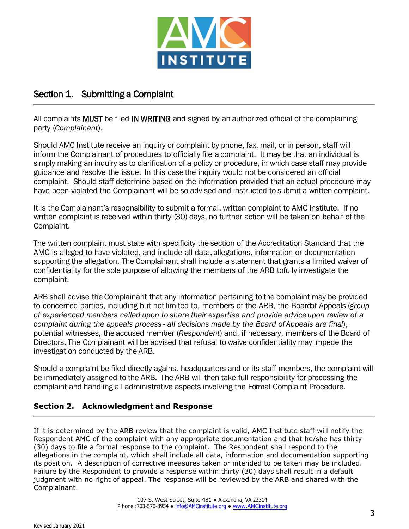

# Section 1. Submitting a Complaint

All complaints MUST be filed IN WRITING and signed by an authorized official of the complaining party (*Complainant*).

Should AMC Institute receive an inquiry or complaint by phone, fax, mail, or in person, staff will inform the Complainant of procedures to officially file a complaint. It may be that an individual is simply making an inquiry as to clarification of a policy or procedure, in which case staff may provide guidance and resolve the issue. In this case the inquiry would not be considered an official complaint. Should staff determine based on the information provided that an actual procedure may have been violated the Complainant will be so advised and instructed to submit a written complaint.

It is the Complainant's responsibility to submit a formal, written complaint to AMC Institute. If no written complaint is received within thirty (30) days, no further action will be taken on behalf of the Complaint.

The written complaint must state with specificity the section of the Accreditation Standard that the AMC is alleged to have violated, and include all data, allegations, information or documentation supporting the allegation. The Complainant shall include a statement that grants a limited waiver of confidentiality for the sole purpose of allowing the members of the ARB to fully investigate the complaint.

ARB shall advise the Complainant that any information pertaining to the complaint may be provided to concerned parties, including but not limited to, members of the ARB, the Board of Appeals (*group of experienced members called upon to share their expertise and provide advice upon review of a complaint during the appeals process - all decisions made by the Board of Appeals are final*), potential witnesses, the accused member (*Respondent*) and, if necessary, members of the Board of Directors. The Complainant will be advised that refusal to waive confidentiality may impede the investigation conducted by the ARB.

Should a complaint be filed directly against headquarters and or its staff members, the complaint will be immediately assigned to the ARB. The ARB will then take full responsibility for processing the complaint and handling all administrative aspects involving the Formal Complaint Procedure.

### **Section 2. Acknowledgment and Response**

If it is determined by the ARB review that the complaint is valid, AMC Institute staff will notify the Respondent AMC of the complaint with any appropriate documentation and that he/she has thirty (30) days to file a formal response to the complaint. The Respondent shall respond to the allegations in the complaint, which shall include all data, information and documentation supporting its position. A description of corrective measures taken or intended to be taken may be included. Failure by the Respondent to provide a response within thirty (30) days shall result in a default judgment with no right of appeal. The response will be reviewed by the ARB and shared with the Complainant.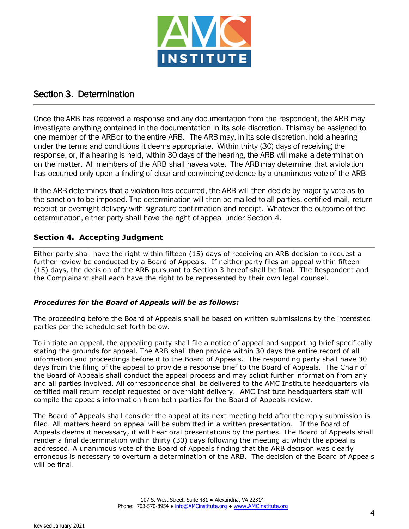

## Section 3. Determination

Once the ARB has received a response and any documentation from the respondent, the ARB may investigate anything contained in the documentation in its sole discretion. This may be assigned to one member of the ARB or to the entire ARB. The ARB may, in its sole discretion, hold a hearing under the terms and conditions it deems appropriate. Within thirty (30) days of receiving the response, or, if a hearing is held, within 30 days of the hearing, the ARB will make a determination on the matter. All members of the ARB shall have a vote. The ARB may determine that a violation has occurred only upon a finding of clear and convincing evidence by a unanimous vote of the ARB

If the ARB determines that a violation has occurred, the ARB will then decide by majority vote as to the sanction to be imposed. The determination will then be mailed to all parties, certified mail, return receipt or overnight delivery with signature confirmation and receipt. Whatever the outcome of the determination, either party shall have the right of appeal under Section 4.

#### **Section 4. Accepting Judgment**

Either party shall have the right within fifteen (15) days of receiving an ARB decision to request a further review be conducted by a Board of Appeals. If neither party files an appeal within fifteen (15) days, the decision of the ARB pursuant to Section 3 hereof shall be final. The Respondent and the Complainant shall each have the right to be represented by their own legal counsel.

#### *Procedures for the Board of Appeals will be as follows:*

The proceeding before the Board of Appeals shall be based on written submissions by the interested parties per the schedule set forth below.

To initiate an appeal, the appealing party shall file a notice of appeal and supporting brief specifically stating the grounds for appeal. The ARB shall then provide within 30 days the entire record of all information and proceedings before it to the Board of Appeals. The responding party shall have 30 days from the filing of the appeal to provide a response brief to the Board of Appeals. The Chair of the Board of Appeals shall conduct the appeal process and may solicit further information from any and all parties involved. All correspondence shall be delivered to the AMC Institute headquarters via certified mail return receipt requested or overnight delivery. AMC Institute headquarters staff will compile the appeals information from both parties for the Board of Appeals review.

The Board of Appeals shall consider the appeal at its next meeting held after the reply submission is filed. All matters heard on appeal will be submitted in a written presentation. If the Board of Appeals deems it necessary, it will hear oral presentations by the parties. The Board of Appeals shall render a final determination within thirty (30) days following the meeting at which the appeal is addressed. A unanimous vote of the Board of Appeals finding that the ARB decision was clearly erroneous is necessary to overturn a determination of the ARB. The decision of the Board of Appeals will be final.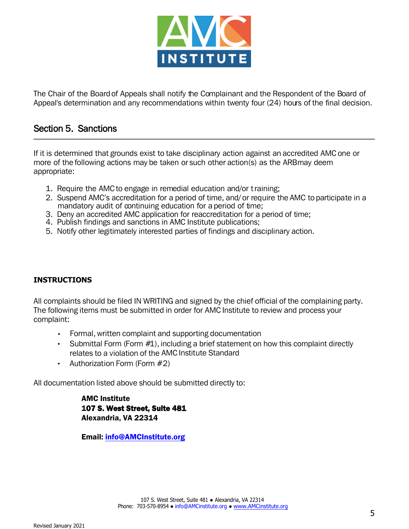

The Chair of the Board of Appeals shall notify the Complainant and the Respondent of the Board of Appeal's determination and any recommendations within twenty four (24) hours of the final decision.

## Section 5. Sanctions

If it is determined that grounds exist to take disciplinary action against an accredited AMC one or more of the following actions may be taken or such other action(s) as the ARB may deem appropriate:

- 1. Require the AMC to engage in remedial education and/or training;
- 2. Suspend AMC's accreditation for a period of time, and/ or require the AMC to participate in a mandatory audit of continuing education for a period of time;
- 3. Deny an accredited AMC application for reaccreditation for a period of time;
- 4. Publish findings and sanctions in AMC Institute publications;
- 5. Notify other legitimately interested parties of findings and disciplinary action.

#### **INSTRUCTIONS**

All complaints should be filed IN WRITING and signed by the chief official of the complaining party. The following items must be submitted in order for AMC Institute to review and process your complaint:

- Formal, written complaint and supporting documentation
- Submittal Form (Form  $#1$ ), including a brief statement on how this complaint directly relates to a violation of the AMC Institute Standard
- Authorization Form (Form #2)

All documentation listed above should be submitted directly to:

AMC Institute 107 S. West Street, Suite 481 Alexandria, VA 22314

Email: info@AMCInstitute.org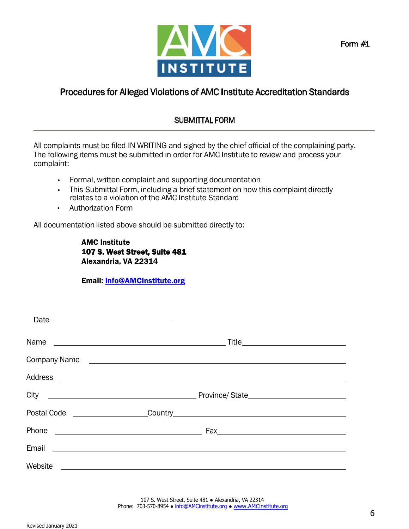

# Procedures for Alleged Violations of AMC Institute Accreditation Standards

# SUBMITTAL FORM

All complaints must be filed IN WRITING and signed by the chief official of the complaining party. The following items must be submitted in order for AMC Institute to review and process your complaint:

- Formal, written complaint and supporting documentation
- This Submittal Form, including a brief statement on how this complaint directly relates to a violation of the AMC Institute Standard
- Authorization Form

All documentation listed above should be submitted directly to:

AMC Institute 107 S. West Street, Suite 481 Alexandria, VA 22314

### Email: info@AMCInstitute.org

| Date <b>Date Contract Contract Contract Contract Contract Contract Contract Contract Contract Contract Contract Contract Contract Contract Contract Contract Contract Contract Contract Contract Contract Contract Contract Co</b>   |  |
|--------------------------------------------------------------------------------------------------------------------------------------------------------------------------------------------------------------------------------------|--|
|                                                                                                                                                                                                                                      |  |
| Company Name <b>company</b> Name company antistic company antistic company company antistic company company company company company company company company company company company company company company company company company  |  |
|                                                                                                                                                                                                                                      |  |
|                                                                                                                                                                                                                                      |  |
|                                                                                                                                                                                                                                      |  |
| Phone<br><u> 1980 - Johann Barnett, fransk politik (d. 1980)</u>                                                                                                                                                                     |  |
| Email <u>and the community of the community of the community of the community of the community of the community of the community of the community of the community of the community of the community of the community of the com</u> |  |
| Website<br><u> 1989 - Johann Stein, mars an deus Amerikaansk kommunister (</u>                                                                                                                                                       |  |

107 S. West Street, Suite 481 · Alexandria, VA 22314 Phone: 703-570-8954 ● info@AMCinstitute.org ● www.AMCinstitute.org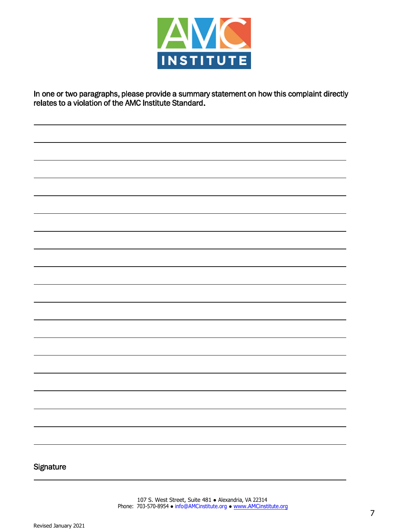

In one or two paragraphs, please provide a summary statement on how this complaint directly relates to a violation of the AMC Institute Standard.

#### **Signature**